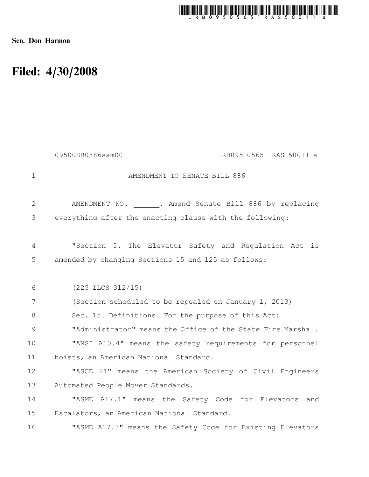

Sen. Don Harmon

## Filed: 4/30/2008

|             | 09500SB0886sam001<br>LRB095 05651 RAS 50011 a               |
|-------------|-------------------------------------------------------------|
| $\mathbf 1$ | AMENDMENT TO SENATE BILL 886                                |
| 2           | AMENDMENT NO. . Amend Senate Bill 886 by replacing          |
| 3           | everything after the enacting clause with the following:    |
| 4           | "Section 5. The Elevator Safety and Regulation Act is       |
| 5           | amended by changing Sections 15 and 125 as follows:         |
| 6           | $(225$ ILCS $312/15)$                                       |
| 7           | (Section scheduled to be repealed on January 1, 2013)       |
| 8           | Sec. 15. Definitions. For the purpose of this Act:          |
| 9           | "Administrator" means the Office of the State Fire Marshal. |
| 10          | "ANSI A10.4" means the safety requirements for personnel    |
| 11          | hoists, an American National Standard.                      |
| 12          | "ASCE 21" means the American Society of Civil Engineers     |
| 13          | Automated People Mover Standards.                           |
| 14          | "ASME A17.1" means the Safety Code for Elevators and        |
| 15          | Escalators, an American National Standard.                  |
| 16          | "ASME A17.3" means the Safety Code for Existing Elevators   |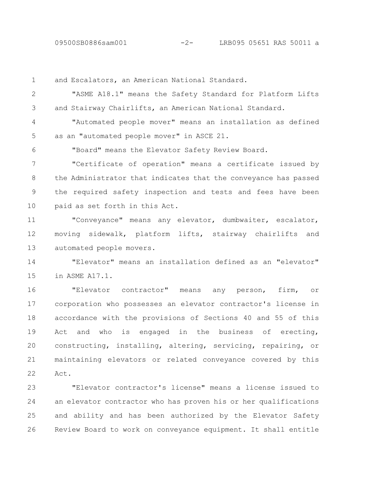09500SB0886sam001 -2- LRB095 05651 RAS 50011 a

and Escalators, an American National Standard. "ASME A18.1" means the Safety Standard for Platform Lifts and Stairway Chairlifts, an American National Standard. "Automated people mover" means an installation as defined as an "automated people mover" in ASCE 21. "Board" means the Elevator Safety Review Board. "Certificate of operation" means a certificate issued by the Administrator that indicates that the conveyance has passed the required safety inspection and tests and fees have been paid as set forth in this Act. "Conveyance" means any elevator, dumbwaiter, escalator, moving sidewalk, platform lifts, stairway chairlifts and automated people movers. "Elevator" means an installation defined as an "elevator" in ASME A17.1. "Elevator contractor" means any person, firm, or corporation who possesses an elevator contractor's license in accordance with the provisions of Sections 40 and 55 of this Act and who is engaged in the business of erecting, constructing, installing, altering, servicing, repairing, or maintaining elevators or related conveyance covered by this Act. 1 2 3 4 5 6 7 8 9 10 11 12 13 14 15 16 17 18 19 20 21 22

"Elevator contractor's license" means a license issued to an elevator contractor who has proven his or her qualifications and ability and has been authorized by the Elevator Safety Review Board to work on conveyance equipment. It shall entitle 23 24 25 26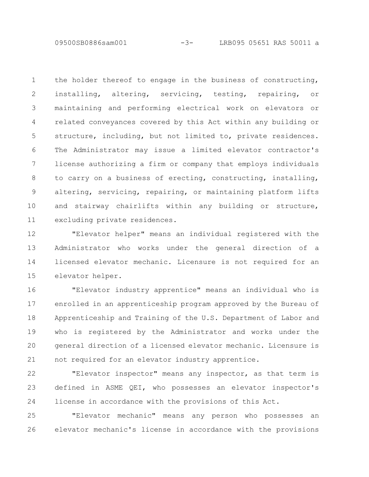09500SB0886sam001 -3- LRB095 05651 RAS 50011 a

the holder thereof to engage in the business of constructing, installing, altering, servicing, testing, repairing, or maintaining and performing electrical work on elevators or related conveyances covered by this Act within any building or structure, including, but not limited to, private residences. The Administrator may issue a limited elevator contractor's license authorizing a firm or company that employs individuals to carry on a business of erecting, constructing, installing, altering, servicing, repairing, or maintaining platform lifts and stairway chairlifts within any building or structure, excluding private residences. 1 2 3 4 5 6 7 8 9 10 11

"Elevator helper" means an individual registered with the Administrator who works under the general direction of a licensed elevator mechanic. Licensure is not required for an elevator helper. 12 13 14 15

"Elevator industry apprentice" means an individual who is enrolled in an apprenticeship program approved by the Bureau of Apprenticeship and Training of the U.S. Department of Labor and who is registered by the Administrator and works under the general direction of a licensed elevator mechanic. Licensure is not required for an elevator industry apprentice. 16 17 18 19 20 21

"Elevator inspector" means any inspector, as that term is defined in ASME QEI, who possesses an elevator inspector's license in accordance with the provisions of this Act. 22 23 24

"Elevator mechanic" means any person who possesses an elevator mechanic's license in accordance with the provisions 25 26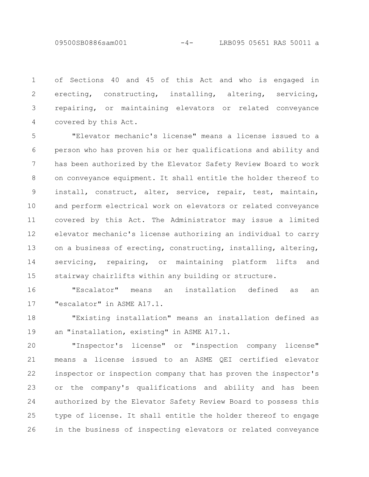09500SB0886sam001 -4- LRB095 05651 RAS 50011 a

of Sections 40 and 45 of this Act and who is engaged in erecting, constructing, installing, altering, servicing, repairing, or maintaining elevators or related conveyance covered by this Act. 1 2 3 4

"Elevator mechanic's license" means a license issued to a person who has proven his or her qualifications and ability and has been authorized by the Elevator Safety Review Board to work on conveyance equipment. It shall entitle the holder thereof to install, construct, alter, service, repair, test, maintain, and perform electrical work on elevators or related conveyance covered by this Act. The Administrator may issue a limited elevator mechanic's license authorizing an individual to carry on a business of erecting, constructing, installing, altering, servicing, repairing, or maintaining platform lifts and stairway chairlifts within any building or structure. 5 6 7 8 9 10 11 12 13 14 15

"Escalator" means an installation defined as an "escalator" in ASME A17.1. 16 17

"Existing installation" means an installation defined as an "installation, existing" in ASME A17.1. 18 19

"Inspector's license" or "inspection company license" means a license issued to an ASME QEI certified elevator inspector or inspection company that has proven the inspector's or the company's qualifications and ability and has been authorized by the Elevator Safety Review Board to possess this type of license. It shall entitle the holder thereof to engage in the business of inspecting elevators or related conveyance 20 21 22 23 24 25 26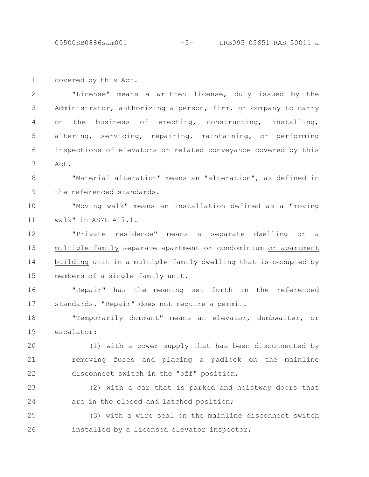09500SB0886sam001 -5- LRB095 05651 RAS 50011 a

covered by this Act. "License" means a written license, duly issued by the Administrator, authorizing a person, firm, or company to carry on the business of erecting, constructing, installing, altering, servicing, repairing, maintaining, or performing inspections of elevators or related conveyance covered by this Act. "Material alteration" means an "alteration", as defined in the referenced standards. "Moving walk" means an installation defined as a "moving walk" in ASME A17.1. "Private residence" means a separate dwelling or a multiple-family separate apartment or condominium or apartment building unit in a multiple family dwelling that is occupied by members of a single family unit. "Repair" has the meaning set forth in the referenced standards. "Repair" does not require a permit. "Temporarily dormant" means an elevator, dumbwaiter, or escalator: (1) with a power supply that has been disconnected by removing fuses and placing a padlock on the mainline disconnect switch in the "off" position; (2) with a car that is parked and hoistway doors that are in the closed and latched position; (3) with a wire seal on the mainline disconnect switch 1 2 3 4 5 6 7 8 9 10 11 12 13 14 15 16 17 18 19 20 21 22 23 24 25

installed by a licensed elevator inspector;

26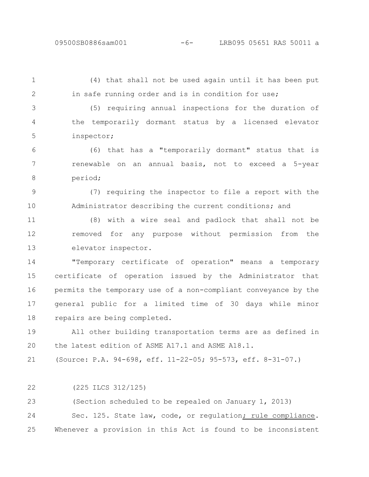## 09500SB0886sam001 -6- LRB095 05651 RAS 50011 a

1 2

(4) that shall not be used again until it has been put in safe running order and is in condition for use;

3 4

5

(5) requiring annual inspections for the duration of the temporarily dormant status by a licensed elevator inspector;

(6) that has a "temporarily dormant" status that is renewable on an annual basis, not to exceed a 5-year period; 6 7 8

(7) requiring the inspector to file a report with the Administrator describing the current conditions; and 9 10

(8) with a wire seal and padlock that shall not be removed for any purpose without permission from the elevator inspector. 11 12 13

"Temporary certificate of operation" means a temporary certificate of operation issued by the Administrator that permits the temporary use of a non-compliant conveyance by the general public for a limited time of 30 days while minor repairs are being completed. 14 15 16 17 18

All other building transportation terms are as defined in the latest edition of ASME A17.1 and ASME A18.1. 19 20

(Source: P.A. 94-698, eff. 11-22-05; 95-573, eff. 8-31-07.) 21

(225 ILCS 312/125) 22

(Section scheduled to be repealed on January 1, 2013) Sec. 125. State law, code, or regulation; rule compliance. Whenever a provision in this Act is found to be inconsistent 23 24 25